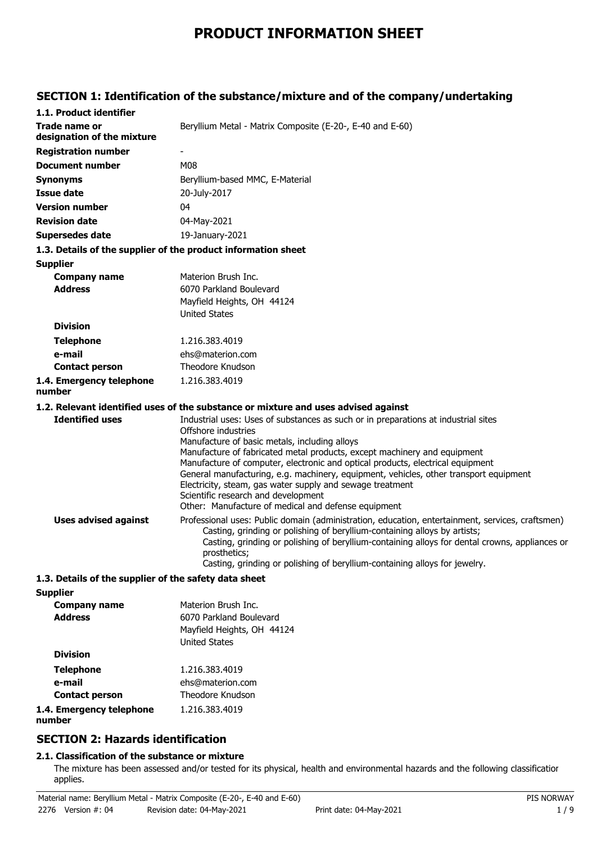# **PRODUCT INFORMATION SHEET**

## **SECTION 1: Identification of the substance/mixture and of the company/undertaking**

| 1.1. Product identifier                               |                                                                                                                                                                                                                                                                                                                                                                                                                                                                 |
|-------------------------------------------------------|-----------------------------------------------------------------------------------------------------------------------------------------------------------------------------------------------------------------------------------------------------------------------------------------------------------------------------------------------------------------------------------------------------------------------------------------------------------------|
| <b>Trade name or</b><br>designation of the mixture    | Beryllium Metal - Matrix Composite (E-20-, E-40 and E-60)                                                                                                                                                                                                                                                                                                                                                                                                       |
| <b>Registration number</b>                            |                                                                                                                                                                                                                                                                                                                                                                                                                                                                 |
| <b>Document number</b>                                | M08                                                                                                                                                                                                                                                                                                                                                                                                                                                             |
| <b>Synonyms</b>                                       | Beryllium-based MMC, E-Material                                                                                                                                                                                                                                                                                                                                                                                                                                 |
| <b>Issue date</b>                                     | 20-July-2017                                                                                                                                                                                                                                                                                                                                                                                                                                                    |
| <b>Version number</b>                                 | 04                                                                                                                                                                                                                                                                                                                                                                                                                                                              |
| <b>Revision date</b>                                  | 04-May-2021                                                                                                                                                                                                                                                                                                                                                                                                                                                     |
| <b>Supersedes date</b>                                | 19-January-2021                                                                                                                                                                                                                                                                                                                                                                                                                                                 |
|                                                       | 1.3. Details of the supplier of the product information sheet                                                                                                                                                                                                                                                                                                                                                                                                   |
| <b>Supplier</b>                                       |                                                                                                                                                                                                                                                                                                                                                                                                                                                                 |
| <b>Company name</b>                                   | Materion Brush Inc.                                                                                                                                                                                                                                                                                                                                                                                                                                             |
| <b>Address</b>                                        | 6070 Parkland Boulevard                                                                                                                                                                                                                                                                                                                                                                                                                                         |
|                                                       | Mayfield Heights, OH 44124                                                                                                                                                                                                                                                                                                                                                                                                                                      |
|                                                       | <b>United States</b>                                                                                                                                                                                                                                                                                                                                                                                                                                            |
| <b>Division</b>                                       |                                                                                                                                                                                                                                                                                                                                                                                                                                                                 |
| <b>Telephone</b>                                      | 1.216.383.4019                                                                                                                                                                                                                                                                                                                                                                                                                                                  |
| e-mail                                                | ehs@materion.com                                                                                                                                                                                                                                                                                                                                                                                                                                                |
| <b>Contact person</b>                                 | Theodore Knudson                                                                                                                                                                                                                                                                                                                                                                                                                                                |
| 1.4. Emergency telephone<br>number                    | 1.216.383.4019                                                                                                                                                                                                                                                                                                                                                                                                                                                  |
|                                                       | 1.2. Relevant identified uses of the substance or mixture and uses advised against                                                                                                                                                                                                                                                                                                                                                                              |
| <b>Identified uses</b>                                | Industrial uses: Uses of substances as such or in preparations at industrial sites<br>Offshore industries                                                                                                                                                                                                                                                                                                                                                       |
|                                                       | Manufacture of basic metals, including alloys<br>Manufacture of fabricated metal products, except machinery and equipment<br>Manufacture of computer, electronic and optical products, electrical equipment<br>General manufacturing, e.g. machinery, equipment, vehicles, other transport equipment<br>Electricity, steam, gas water supply and sewage treatment<br>Scientific research and development<br>Other: Manufacture of medical and defense equipment |
| <b>Uses advised against</b>                           | Professional uses: Public domain (administration, education, entertainment, services, craftsmen)<br>Casting, grinding or polishing of beryllium-containing alloys by artists;<br>Casting, grinding or polishing of beryllium-containing alloys for dental crowns, appliances or<br>prosthetics;<br>Casting, grinding or polishing of beryllium-containing alloys for jewelry.                                                                                   |
| 1.3. Details of the supplier of the safety data sheet |                                                                                                                                                                                                                                                                                                                                                                                                                                                                 |
| <b>Supplier</b>                                       |                                                                                                                                                                                                                                                                                                                                                                                                                                                                 |
| C <sub>OMM</sub>                                      | Motorion Pruch Inc.                                                                                                                                                                                                                                                                                                                                                                                                                                             |

| <b>Company name</b>                | Materion Brush Inc.        |
|------------------------------------|----------------------------|
| <b>Address</b>                     | 6070 Parkland Boulevard    |
|                                    | Mayfield Heights, OH 44124 |
|                                    | <b>United States</b>       |
| <b>Division</b>                    |                            |
| <b>Telephone</b>                   | 1.216.383.4019             |
| e-mail                             | ehs@materion.com           |
| <b>Contact person</b>              | Theodore Knudson           |
| 1.4. Emergency telephone<br>number | 1.216.383.4019             |

## **SECTION 2: Hazards identification**

## **2.1. Classification of the substance or mixture**

The mixture has been assessed and/or tested for its physical, health and environmental hazards and the following classification applies.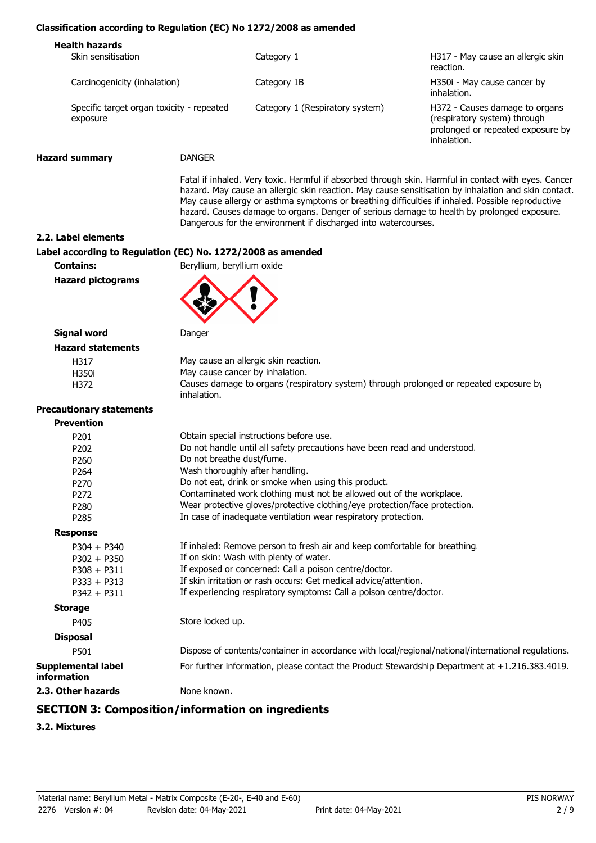#### **Classification according to Regulation (EC) No 1272/2008 as amended**

| <b>Health hazards</b><br>Skin sensitisation           | Category 1                      | H317 - May cause an allergic skin<br>reaction.                                                                     |
|-------------------------------------------------------|---------------------------------|--------------------------------------------------------------------------------------------------------------------|
| Carcinogenicity (inhalation)                          | Category 1B                     | H350i - May cause cancer by<br>inhalation.                                                                         |
| Specific target organ toxicity - repeated<br>exposure | Category 1 (Respiratory system) | H372 - Causes damage to organs<br>(respiratory system) through<br>prolonged or repeated exposure by<br>inhalation. |
|                                                       |                                 |                                                                                                                    |

**Hazard summary** DANGER

Fatal if inhaled. Very toxic. Harmful if absorbed through skin. Harmful in contact with eyes. Cancer hazard. May cause an allergic skin reaction. May cause sensitisation by inhalation and skin contact. May cause allergy or asthma symptoms or breathing difficulties if inhaled. Possible reproductive hazard. Causes damage to organs. Danger of serious damage to health by prolonged exposure. Dangerous for the environment if discharged into watercourses.

**2.2. Label elements**

#### **Label according to Regulation (EC) No. 1272/2008 as amended**

**Contains:** Beryllium, beryllium oxide

**Hazard pictograms**



#### **Signal word** Danger **Hazard statements**

| May cause an allergic skin reaction.                                                                 |
|------------------------------------------------------------------------------------------------------|
| May cause cancer by inhalation.                                                                      |
| Causes damage to organs (respiratory system) through prolonged or repeated exposure b<br>inhalation. |
|                                                                                                      |

#### **Pre**

| Obtain special instructions before use.                                                             |
|-----------------------------------------------------------------------------------------------------|
| Do not handle until all safety precautions have been read and understood.                           |
| Do not breathe dust/fume.                                                                           |
| Wash thoroughly after handling.                                                                     |
| Do not eat, drink or smoke when using this product.                                                 |
| Contaminated work clothing must not be allowed out of the workplace.                                |
| Wear protective gloves/protective clothing/eye protection/face protection.                          |
| In case of inadequate ventilation wear respiratory protection.                                      |
|                                                                                                     |
| If inhaled: Remove person to fresh air and keep comfortable for breathing.                          |
| If on skin: Wash with plenty of water.                                                              |
| If exposed or concerned: Call a poison centre/doctor.                                               |
| If skin irritation or rash occurs: Get medical advice/attention.                                    |
| If experiencing respiratory symptoms: Call a poison centre/doctor.                                  |
|                                                                                                     |
| Store locked up.                                                                                    |
|                                                                                                     |
| Dispose of contents/container in accordance with local/regional/national/international regulations. |
| For further information, please contact the Product Stewardship Department at +1.216.383.4019.      |
| None known.                                                                                         |
|                                                                                                     |

## **SECTION 3: Composition/information on ingredients**

#### **3.2. Mixtures**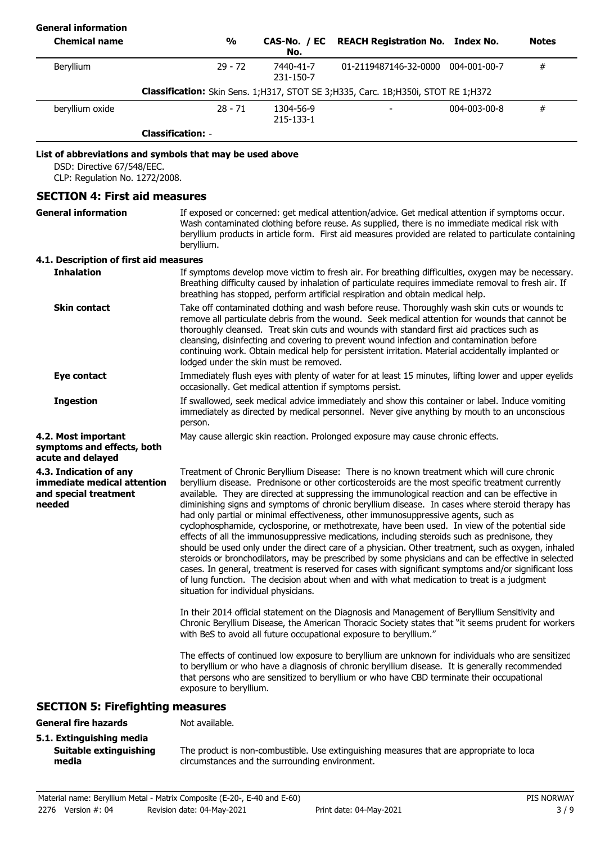| <b>General information</b>                                                                                               |                                      |                                                          |                                                                                                                                                                                                                                                                                                                                                                                                                                                                                                                                                                                                                                                                                                                                                                                                                                                                                                                                                                                                                                                                                                                                                                                                                                                                                                                                                                                                                                                                                                 |              |              |
|--------------------------------------------------------------------------------------------------------------------------|--------------------------------------|----------------------------------------------------------|-------------------------------------------------------------------------------------------------------------------------------------------------------------------------------------------------------------------------------------------------------------------------------------------------------------------------------------------------------------------------------------------------------------------------------------------------------------------------------------------------------------------------------------------------------------------------------------------------------------------------------------------------------------------------------------------------------------------------------------------------------------------------------------------------------------------------------------------------------------------------------------------------------------------------------------------------------------------------------------------------------------------------------------------------------------------------------------------------------------------------------------------------------------------------------------------------------------------------------------------------------------------------------------------------------------------------------------------------------------------------------------------------------------------------------------------------------------------------------------------------|--------------|--------------|
| <b>Chemical name</b>                                                                                                     | $\frac{0}{0}$                        | CAS-No. / EC<br>No.                                      | <b>REACH Registration No. Index No.</b>                                                                                                                                                                                                                                                                                                                                                                                                                                                                                                                                                                                                                                                                                                                                                                                                                                                                                                                                                                                                                                                                                                                                                                                                                                                                                                                                                                                                                                                         |              | <b>Notes</b> |
| Beryllium                                                                                                                | $29 - 72$                            | 7440-41-7<br>231-150-7                                   | 01-2119487146-32-0000 004-001-00-7                                                                                                                                                                                                                                                                                                                                                                                                                                                                                                                                                                                                                                                                                                                                                                                                                                                                                                                                                                                                                                                                                                                                                                                                                                                                                                                                                                                                                                                              |              | #            |
|                                                                                                                          |                                      |                                                          | Classification: Skin Sens. 1; H317, STOT SE 3; H335, Carc. 1B; H350i, STOT RE 1; H372                                                                                                                                                                                                                                                                                                                                                                                                                                                                                                                                                                                                                                                                                                                                                                                                                                                                                                                                                                                                                                                                                                                                                                                                                                                                                                                                                                                                           |              |              |
| beryllium oxide                                                                                                          | $28 - 71$                            | 1304-56-9<br>215-133-1                                   |                                                                                                                                                                                                                                                                                                                                                                                                                                                                                                                                                                                                                                                                                                                                                                                                                                                                                                                                                                                                                                                                                                                                                                                                                                                                                                                                                                                                                                                                                                 | 004-003-00-8 | $\#$         |
|                                                                                                                          | <b>Classification: -</b>             |                                                          |                                                                                                                                                                                                                                                                                                                                                                                                                                                                                                                                                                                                                                                                                                                                                                                                                                                                                                                                                                                                                                                                                                                                                                                                                                                                                                                                                                                                                                                                                                 |              |              |
| List of abbreviations and symbols that may be used above<br>DSD: Directive 67/548/EEC.<br>CLP: Regulation No. 1272/2008. |                                      |                                                          |                                                                                                                                                                                                                                                                                                                                                                                                                                                                                                                                                                                                                                                                                                                                                                                                                                                                                                                                                                                                                                                                                                                                                                                                                                                                                                                                                                                                                                                                                                 |              |              |
| <b>SECTION 4: First aid measures</b>                                                                                     |                                      |                                                          |                                                                                                                                                                                                                                                                                                                                                                                                                                                                                                                                                                                                                                                                                                                                                                                                                                                                                                                                                                                                                                                                                                                                                                                                                                                                                                                                                                                                                                                                                                 |              |              |
| <b>General information</b>                                                                                               | beryllium.                           |                                                          | If exposed or concerned: get medical attention/advice. Get medical attention if symptoms occur.<br>Wash contaminated clothing before reuse. As supplied, there is no immediate medical risk with<br>beryllium products in article form. First aid measures provided are related to particulate containing                                                                                                                                                                                                                                                                                                                                                                                                                                                                                                                                                                                                                                                                                                                                                                                                                                                                                                                                                                                                                                                                                                                                                                                       |              |              |
| 4.1. Description of first aid measures                                                                                   |                                      |                                                          |                                                                                                                                                                                                                                                                                                                                                                                                                                                                                                                                                                                                                                                                                                                                                                                                                                                                                                                                                                                                                                                                                                                                                                                                                                                                                                                                                                                                                                                                                                 |              |              |
| <b>Inhalation</b>                                                                                                        |                                      |                                                          | If symptoms develop move victim to fresh air. For breathing difficulties, oxygen may be necessary.<br>Breathing difficulty caused by inhalation of particulate requires immediate removal to fresh air. If<br>breathing has stopped, perform artificial respiration and obtain medical help.                                                                                                                                                                                                                                                                                                                                                                                                                                                                                                                                                                                                                                                                                                                                                                                                                                                                                                                                                                                                                                                                                                                                                                                                    |              |              |
| <b>Skin contact</b>                                                                                                      |                                      | lodged under the skin must be removed.                   | Take off contaminated clothing and wash before reuse. Thoroughly wash skin cuts or wounds to<br>remove all particulate debris from the wound. Seek medical attention for wounds that cannot be<br>thoroughly cleansed. Treat skin cuts and wounds with standard first aid practices such as<br>cleansing, disinfecting and covering to prevent wound infection and contamination before<br>continuing work. Obtain medical help for persistent irritation. Material accidentally implanted or                                                                                                                                                                                                                                                                                                                                                                                                                                                                                                                                                                                                                                                                                                                                                                                                                                                                                                                                                                                                   |              |              |
| <b>Eye contact</b>                                                                                                       |                                      | occasionally. Get medical attention if symptoms persist. | Immediately flush eyes with plenty of water for at least 15 minutes, lifting lower and upper eyelids                                                                                                                                                                                                                                                                                                                                                                                                                                                                                                                                                                                                                                                                                                                                                                                                                                                                                                                                                                                                                                                                                                                                                                                                                                                                                                                                                                                            |              |              |
| <b>Ingestion</b>                                                                                                         | person.                              |                                                          | If swallowed, seek medical advice immediately and show this container or label. Induce vomiting<br>immediately as directed by medical personnel. Never give anything by mouth to an unconscious                                                                                                                                                                                                                                                                                                                                                                                                                                                                                                                                                                                                                                                                                                                                                                                                                                                                                                                                                                                                                                                                                                                                                                                                                                                                                                 |              |              |
| 4.2. Most important<br>symptoms and effects, both<br>acute and delayed                                                   |                                      |                                                          | May cause allergic skin reaction. Prolonged exposure may cause chronic effects.                                                                                                                                                                                                                                                                                                                                                                                                                                                                                                                                                                                                                                                                                                                                                                                                                                                                                                                                                                                                                                                                                                                                                                                                                                                                                                                                                                                                                 |              |              |
| 4.3. Indication of any<br>immediate medical attention<br>and special treatment<br>needed                                 | situation for individual physicians. |                                                          | Treatment of Chronic Beryllium Disease: There is no known treatment which will cure chronic<br>beryllium disease. Prednisone or other corticosteroids are the most specific treatment currently<br>available. They are directed at suppressing the immunological reaction and can be effective in<br>diminishing signs and symptoms of chronic beryllium disease. In cases where steroid therapy has<br>had only partial or minimal effectiveness, other immunosuppressive agents, such as<br>cyclophosphamide, cyclosporine, or methotrexate, have been used. In view of the potential side<br>effects of all the immunosuppressive medications, including steroids such as prednisone, they<br>should be used only under the direct care of a physician. Other treatment, such as oxygen, inhaled<br>steroids or bronchodilators, may be prescribed by some physicians and can be effective in selected<br>cases. In general, treatment is reserved for cases with significant symptoms and/or significant loss<br>of lung function. The decision about when and with what medication to treat is a judgment<br>In their 2014 official statement on the Diagnosis and Management of Beryllium Sensitivity and<br>Chronic Beryllium Disease, the American Thoracic Society states that "it seems prudent for workers<br>with BeS to avoid all future occupational exposure to beryllium."<br>The effects of continued low exposure to beryllium are unknown for individuals who are sensitizec |              |              |
|                                                                                                                          | exposure to beryllium.               |                                                          | to beryllium or who have a diagnosis of chronic beryllium disease. It is generally recommended<br>that persons who are sensitized to beryllium or who have CBD terminate their occupational                                                                                                                                                                                                                                                                                                                                                                                                                                                                                                                                                                                                                                                                                                                                                                                                                                                                                                                                                                                                                                                                                                                                                                                                                                                                                                     |              |              |
| <b>SECTION 5: Firefighting measures</b>                                                                                  |                                      |                                                          |                                                                                                                                                                                                                                                                                                                                                                                                                                                                                                                                                                                                                                                                                                                                                                                                                                                                                                                                                                                                                                                                                                                                                                                                                                                                                                                                                                                                                                                                                                 |              |              |
| <b>General fire hazards</b><br>5.1. Extinguishing media                                                                  | Not available.                       |                                                          |                                                                                                                                                                                                                                                                                                                                                                                                                                                                                                                                                                                                                                                                                                                                                                                                                                                                                                                                                                                                                                                                                                                                                                                                                                                                                                                                                                                                                                                                                                 |              |              |

**media**

**Suitable extinguishing**

The product is non-combustible. Use extinguishing measures that are appropriate to local circumstances and the surrounding environment.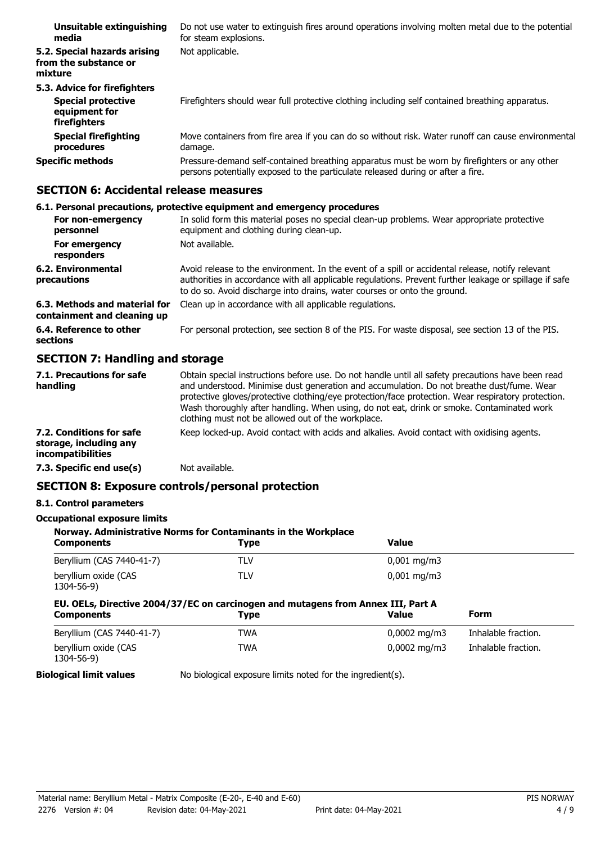| Unsuitable extinguishing<br>media                                                          | Do not use water to extinguish fires around operations involving molten metal due to the potential<br>for steam explosions.                                                     |
|--------------------------------------------------------------------------------------------|---------------------------------------------------------------------------------------------------------------------------------------------------------------------------------|
| 5.2. Special hazards arising<br>from the substance or<br>mixture                           | Not applicable.                                                                                                                                                                 |
| 5.3. Advice for firefighters<br><b>Special protective</b><br>equipment for<br>firefighters | Firefighters should wear full protective clothing including self contained breathing apparatus.                                                                                 |
| <b>Special firefighting</b><br>procedures                                                  | Move containers from fire area if you can do so without risk. Water runoff can cause environmental<br>damage.                                                                   |
| <b>Specific methods</b>                                                                    | Pressure-demand self-contained breathing apparatus must be worn by firefighters or any other<br>persons potentially exposed to the particulate released during or after a fire. |

## **SECTION 6: Accidental release measures**

## **6.1. Personal precautions, protective equipment and emergency procedures**

| For non-emergency<br>personnel                               | In solid form this material poses no special clean-up problems. Wear appropriate protective<br>equipment and clothing during clean-up.                                                                                                                                                 |
|--------------------------------------------------------------|----------------------------------------------------------------------------------------------------------------------------------------------------------------------------------------------------------------------------------------------------------------------------------------|
| For emergency<br>responders                                  | Not available.                                                                                                                                                                                                                                                                         |
| 6.2. Environmental<br>precautions                            | Avoid release to the environment. In the event of a spill or accidental release, notify relevant<br>authorities in accordance with all applicable regulations. Prevent further leakage or spillage if safe<br>to do so. Avoid discharge into drains, water courses or onto the ground. |
| 6.3. Methods and material for<br>containment and cleaning up | Clean up in accordance with all applicable regulations.                                                                                                                                                                                                                                |
| 6.4. Reference to other<br>sections                          | For personal protection, see section 8 of the PIS. For waste disposal, see section 13 of the PIS.                                                                                                                                                                                      |

## **SECTION 7: Handling and storage**

| 7.1. Precautions for safe<br>handling                                          | Obtain special instructions before use. Do not handle until all safety precautions have been read<br>and understood. Minimise dust generation and accumulation. Do not breathe dust/fume. Wear<br>protective gloves/protective clothing/eye protection/face protection. Wear respiratory protection.<br>Wash thoroughly after handling. When using, do not eat, drink or smoke. Contaminated work<br>clothing must not be allowed out of the workplace. |
|--------------------------------------------------------------------------------|---------------------------------------------------------------------------------------------------------------------------------------------------------------------------------------------------------------------------------------------------------------------------------------------------------------------------------------------------------------------------------------------------------------------------------------------------------|
| 7.2. Conditions for safe<br>storage, including any<br><i>incompatibilities</i> | Keep locked-up. Avoid contact with acids and alkalies. Avoid contact with oxidising agents.                                                                                                                                                                                                                                                                                                                                                             |
| 7.3. Specific end use(s)                                                       | Not available.                                                                                                                                                                                                                                                                                                                                                                                                                                          |

## **SECTION 8: Exposure controls/personal protection**

## **8.1. Control parameters**

## **Occupational exposure limits**

| Norway. Administrative Norms for Contaminants in the Workplace                                        |             |                          |                     |
|-------------------------------------------------------------------------------------------------------|-------------|--------------------------|---------------------|
| <b>Components</b>                                                                                     | <b>Type</b> | <b>Value</b>             |                     |
| Beryllium (CAS 7440-41-7)                                                                             | TLV         | $0,001 \,\mathrm{mg/m}$  |                     |
| beryllium oxide (CAS<br>1304-56-9)                                                                    | TLV         | $0.001 \,\mathrm{mq/m}$  |                     |
| EU. OELs, Directive 2004/37/EC on carcinogen and mutagens from Annex III, Part A<br><b>Components</b> | <b>Type</b> | <b>Value</b>             | Form                |
|                                                                                                       |             |                          |                     |
| Beryllium (CAS 7440-41-7)                                                                             | <b>TWA</b>  | $0,0002 \,\mathrm{mq/m}$ | Inhalable fraction. |

**Biological limit values** No biological exposure limits noted for the ingredient(s).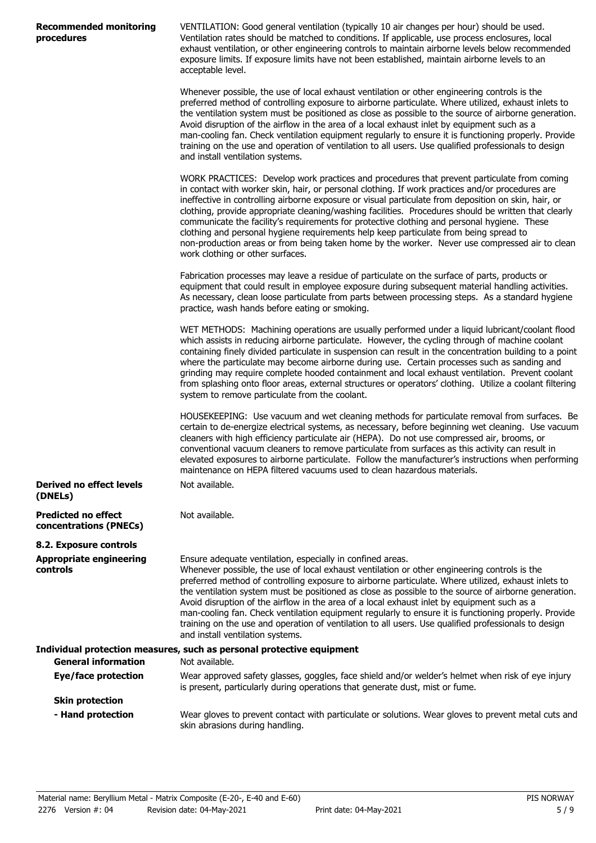| <b>Recommended monitoring</b> |  |
|-------------------------------|--|
| procedures                    |  |

**Derived no effect levels**

VENTILATION: Good general ventilation (typically 10 air changes per hour) should be used. Ventilation rates should be matched to conditions. If applicable, use process enclosures, local exhaust ventilation, or other engineering controls to maintain airborne levels below recommended exposure limits. If exposure limits have not been established, maintain airborne levels to an acceptable level.

Whenever possible, the use of local exhaust ventilation or other engineering controls is the preferred method of controlling exposure to airborne particulate. Where utilized, exhaust inlets to the ventilation system must be positioned as close as possible to the source of airborne generation. Avoid disruption of the airflow in the area of a local exhaust inlet by equipment such as a man-cooling fan. Check ventilation equipment regularly to ensure it is functioning properly. Provide training on the use and operation of ventilation to all users. Use qualified professionals to design and install ventilation systems.

WORK PRACTICES: Develop work practices and procedures that prevent particulate from coming in contact with worker skin, hair, or personal clothing. If work practices and/or procedures are ineffective in controlling airborne exposure or visual particulate from deposition on skin, hair, or clothing, provide appropriate cleaning/washing facilities. Procedures should be written that clearly communicate the facility's requirements for protective clothing and personal hygiene. These clothing and personal hygiene requirements help keep particulate from being spread to non-production areas or from being taken home by the worker. Never use compressed air to clean work clothing or other surfaces.

Fabrication processes may leave a residue of particulate on the surface of parts, products or equipment that could result in employee exposure during subsequent material handling activities. As necessary, clean loose particulate from parts between processing steps. As a standard hygiene practice, wash hands before eating or smoking.

WET METHODS: Machining operations are usually performed under a liquid lubricant/coolant flood which assists in reducing airborne particulate. However, the cycling through of machine coolant containing finely divided particulate in suspension can result in the concentration building to a point where the particulate may become airborne during use. Certain processes such as sanding and grinding may require complete hooded containment and local exhaust ventilation. Prevent coolant from splashing onto floor areas, external structures or operators' clothing. Utilize a coolant filtering system to remove particulate from the coolant.

HOUSEKEEPING: Use vacuum and wet cleaning methods for particulate removal from surfaces. Be certain to de-energize electrical systems, as necessary, before beginning wet cleaning. Use vacuum cleaners with high efficiency particulate air (HEPA). Do not use compressed air, brooms, or conventional vacuum cleaners to remove particulate from surfaces as this activity can result in elevated exposures to airborne particulate. Follow the manufacturer's instructions when performing maintenance on HEPA filtered vacuums used to clean hazardous materials. Not available.

| (DNELs)                                              |                                                                                                                                                                                                                                                                                                                                                                                                                                                                                                                                                                                                                                                                                                                              |
|------------------------------------------------------|------------------------------------------------------------------------------------------------------------------------------------------------------------------------------------------------------------------------------------------------------------------------------------------------------------------------------------------------------------------------------------------------------------------------------------------------------------------------------------------------------------------------------------------------------------------------------------------------------------------------------------------------------------------------------------------------------------------------------|
| <b>Predicted no effect</b><br>concentrations (PNECs) | Not available.                                                                                                                                                                                                                                                                                                                                                                                                                                                                                                                                                                                                                                                                                                               |
| 8.2. Exposure controls                               |                                                                                                                                                                                                                                                                                                                                                                                                                                                                                                                                                                                                                                                                                                                              |
| <b>Appropriate engineering</b><br><b>controls</b>    | Ensure adequate ventilation, especially in confined areas.<br>Whenever possible, the use of local exhaust ventilation or other engineering controls is the<br>preferred method of controlling exposure to airborne particulate. Where utilized, exhaust inlets to<br>the ventilation system must be positioned as close as possible to the source of airborne generation.<br>Avoid disruption of the airflow in the area of a local exhaust inlet by equipment such as a<br>man-cooling fan. Check ventilation equipment regularly to ensure it is functioning properly. Provide<br>training on the use and operation of ventilation to all users. Use qualified professionals to design<br>and install ventilation systems. |
|                                                      | Individual protection measures, such as personal protective equipment                                                                                                                                                                                                                                                                                                                                                                                                                                                                                                                                                                                                                                                        |
| <b>General information</b>                           | Not available.                                                                                                                                                                                                                                                                                                                                                                                                                                                                                                                                                                                                                                                                                                               |
| Eye/face protection                                  | Wear approved safety glasses, goggles, face shield and/or welder's helmet when risk of eye injury<br>is present, particularly during operations that generate dust, mist or fume.                                                                                                                                                                                                                                                                                                                                                                                                                                                                                                                                            |
| <b>Skin protection</b>                               |                                                                                                                                                                                                                                                                                                                                                                                                                                                                                                                                                                                                                                                                                                                              |
| - Hand protection                                    | Wear gloves to prevent contact with particulate or solutions. Wear gloves to prevent metal cuts and<br>skin abrasions during handling.                                                                                                                                                                                                                                                                                                                                                                                                                                                                                                                                                                                       |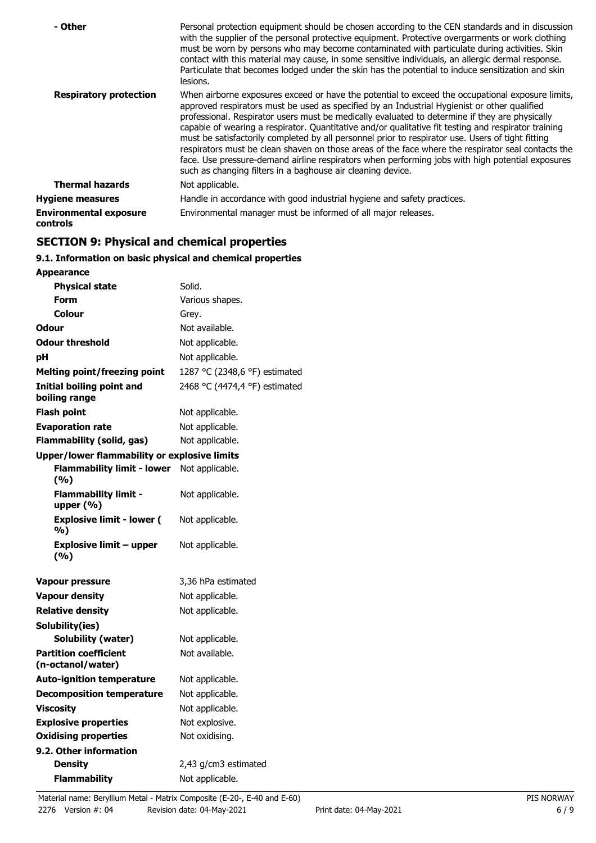| - Other                                   | Personal protection equipment should be chosen according to the CEN standards and in discussion<br>with the supplier of the personal protective equipment. Protective overgarments or work clothing<br>must be worn by persons who may become contaminated with particulate during activities. Skin<br>contact with this material may cause, in some sensitive individuals, an allergic dermal response.<br>Particulate that becomes lodged under the skin has the potential to induce sensitization and skin<br>lesions.                                                                                                                                                                                                                                                                |
|-------------------------------------------|------------------------------------------------------------------------------------------------------------------------------------------------------------------------------------------------------------------------------------------------------------------------------------------------------------------------------------------------------------------------------------------------------------------------------------------------------------------------------------------------------------------------------------------------------------------------------------------------------------------------------------------------------------------------------------------------------------------------------------------------------------------------------------------|
| <b>Respiratory protection</b>             | When airborne exposures exceed or have the potential to exceed the occupational exposure limits,<br>approved respirators must be used as specified by an Industrial Hygienist or other qualified<br>professional. Respirator users must be medically evaluated to determine if they are physically<br>capable of wearing a respirator. Quantitative and/or qualitative fit testing and respirator training<br>must be satisfactorily completed by all personnel prior to respirator use. Users of tight fitting<br>respirators must be clean shaven on those areas of the face where the respirator seal contacts the<br>face. Use pressure-demand airline respirators when performing jobs with high potential exposures<br>such as changing filters in a baghouse air cleaning device. |
| <b>Thermal hazards</b>                    | Not applicable.                                                                                                                                                                                                                                                                                                                                                                                                                                                                                                                                                                                                                                                                                                                                                                          |
| <b>Hygiene measures</b>                   | Handle in accordance with good industrial hygiene and safety practices.                                                                                                                                                                                                                                                                                                                                                                                                                                                                                                                                                                                                                                                                                                                  |
| <b>Environmental exposure</b><br>controls | Environmental manager must be informed of all major releases.                                                                                                                                                                                                                                                                                                                                                                                                                                                                                                                                                                                                                                                                                                                            |

## **SECTION 9: Physical and chemical properties**

## **9.1. Information on basic physical and chemical properties**

| <b>Appearance</b>                                   |                               |
|-----------------------------------------------------|-------------------------------|
| <b>Physical state</b>                               | Solid.                        |
| Form                                                | Various shapes.               |
| Colour                                              | Grey.                         |
| Odour                                               | Not available.                |
| <b>Odour threshold</b>                              | Not applicable.               |
| рH                                                  | Not applicable.               |
| <b>Melting point/freezing point</b>                 | 1287 °C (2348,6 °F) estimated |
| <b>Initial boiling point and</b><br>boiling range   | 2468 °C (4474,4 °F) estimated |
| Flash point                                         | Not applicable.               |
| <b>Evaporation rate</b>                             | Not applicable.               |
| <b>Flammability (solid, gas)</b>                    | Not applicable.               |
| <b>Upper/lower flammability or explosive limits</b> |                               |
| <b>Flammability limit - lower</b><br>(%)            | Not applicable.               |
| <b>Flammability limit -</b><br>upper $(% )$         | Not applicable.               |
| <b>Explosive limit - lower (</b><br>%)              | Not applicable.               |
| <b>Explosive limit - upper</b><br>(%)               | Not applicable.               |
| Vapour pressure                                     | 3,36 hPa estimated            |
| <b>Vapour density</b>                               | Not applicable.               |
| <b>Relative density</b>                             | Not applicable.               |
| Solubility(ies)                                     |                               |
| Solubility (water)                                  | Not applicable.               |
| <b>Partition coefficient</b><br>(n-octanol/water)   | Not available.                |
| <b>Auto-ignition temperature</b>                    | Not applicable.               |
| <b>Decomposition temperature</b>                    | Not applicable.               |
| <b>Viscosity</b>                                    | Not applicable.               |
| <b>Explosive properties</b>                         | Not explosive.                |
| <b>Oxidising properties</b>                         | Not oxidising.                |
| 9.2. Other information                              |                               |
| Density                                             | 2,43 g/cm3 estimated          |
| <b>Flammability</b>                                 | Not applicable.               |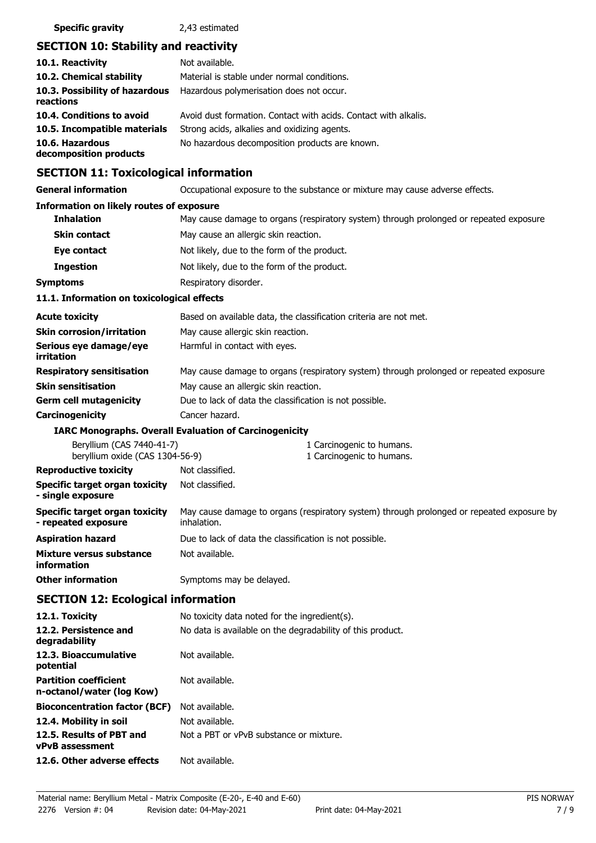## **SECTION 10: Stability and reactivity**

| 10.1. Reactivity                            | Not available.                                                  |
|---------------------------------------------|-----------------------------------------------------------------|
| 10.2. Chemical stability                    | Material is stable under normal conditions.                     |
| 10.3. Possibility of hazardous<br>reactions | Hazardous polymerisation does not occur.                        |
| 10.4. Conditions to avoid                   | Avoid dust formation. Contact with acids. Contact with alkalis. |
| 10.5. Incompatible materials                | Strong acids, alkalies and oxidizing agents.                    |
| 10.6. Hazardous<br>decomposition products   | No hazardous decomposition products are known.                  |

## **SECTION 11: Toxicological information**

**General information CCCUPATION** Occupational exposure to the substance or mixture may cause adverse effects.

## **Information on likely routes of exposure**

| THE BUILDING OF THE RELY TOURS OF EXPOSURE                   |                                                                                                          |
|--------------------------------------------------------------|----------------------------------------------------------------------------------------------------------|
| <b>Inhalation</b>                                            | May cause damage to organs (respiratory system) through prolonged or repeated exposure.                  |
| <b>Skin contact</b>                                          | May cause an allergic skin reaction.                                                                     |
| Eye contact                                                  | Not likely, due to the form of the product.                                                              |
| <b>Ingestion</b>                                             | Not likely, due to the form of the product.                                                              |
| <b>Symptoms</b>                                              | Respiratory disorder.                                                                                    |
| 11.1. Information on toxicological effects                   |                                                                                                          |
| <b>Acute toxicity</b>                                        | Based on available data, the classification criteria are not met.                                        |
| <b>Skin corrosion/irritation</b>                             | May cause allergic skin reaction.                                                                        |
| Serious eye damage/eye<br>irritation                         | Harmful in contact with eyes.                                                                            |
| <b>Respiratory sensitisation</b>                             | May cause damage to organs (respiratory system) through prolonged or repeated exposure.                  |
| <b>Skin sensitisation</b>                                    | May cause an allergic skin reaction.                                                                     |
| <b>Germ cell mutagenicity</b>                                | Due to lack of data the classification is not possible.                                                  |
| Carcinogenicity                                              | Cancer hazard.                                                                                           |
|                                                              | <b>IARC Monographs. Overall Evaluation of Carcinogenicity</b>                                            |
| Beryllium (CAS 7440-41-7)<br>beryllium oxide (CAS 1304-56-9) | 1 Carcinogenic to humans.<br>1 Carcinogenic to humans.                                                   |
| <b>Reproductive toxicity</b>                                 | Not classified.                                                                                          |
| Specific target organ toxicity<br>- single exposure          | Not classified.                                                                                          |
| Specific target organ toxicity<br>- repeated exposure        | May cause damage to organs (respiratory system) through prolonged or repeated exposure by<br>inhalation. |
| <b>Aspiration hazard</b>                                     | Due to lack of data the classification is not possible.                                                  |
| Mixture versus substance<br>information                      | Not available.                                                                                           |
| <b>Other information</b>                                     | Symptoms may be delayed.                                                                                 |
| <b>SECTION 12: Ecological information</b>                    |                                                                                                          |

| 12.1. Toxicity                                            | No toxicity data noted for the ingredient(s).              |
|-----------------------------------------------------------|------------------------------------------------------------|
| 12.2. Persistence and<br>degradability                    | No data is available on the degradability of this product. |
| 12.3. Bioaccumulative<br>potential                        | Not available.                                             |
| <b>Partition coefficient</b><br>n-octanol/water (log Kow) | Not available.                                             |
| <b>Bioconcentration factor (BCF)</b>                      | Not available.                                             |
| 12.4. Mobility in soil                                    | Not available.                                             |
| 12.5. Results of PBT and<br><b>vPvB</b> assessment        | Not a PBT or vPvB substance or mixture.                    |
| 12.6. Other adverse effects                               | Not available.                                             |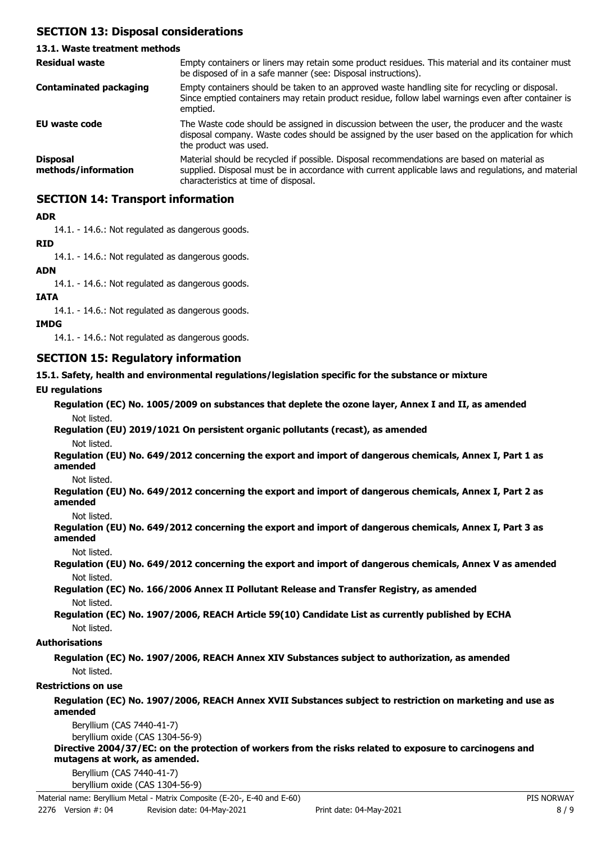## **SECTION 13: Disposal considerations**

## **13.1. Waste treatment methods**

| <b>Residual waste</b>                  | Empty containers or liners may retain some product residues. This material and its container must<br>be disposed of in a safe manner (see: Disposal instructions).                                                                        |
|----------------------------------------|-------------------------------------------------------------------------------------------------------------------------------------------------------------------------------------------------------------------------------------------|
| <b>Contaminated packaging</b>          | Empty containers should be taken to an approved waste handling site for recycling or disposal.<br>Since emptied containers may retain product residue, follow label warnings even after container is<br>emptied.                          |
| EU waste code                          | The Waste code should be assigned in discussion between the user, the producer and the waste<br>disposal company. Waste codes should be assigned by the user based on the application for which<br>the product was used.                  |
| <b>Disposal</b><br>methods/information | Material should be recycled if possible. Disposal recommendations are based on material as<br>supplied. Disposal must be in accordance with current applicable laws and regulations, and material<br>characteristics at time of disposal. |

## **SECTION 14: Transport information**

## **ADR**

14.1. - 14.6.: Not regulated as dangerous goods.

## **RID**

14.1. - 14.6.: Not regulated as dangerous goods.

## **ADN**

14.1. - 14.6.: Not regulated as dangerous goods.

## **IATA**

14.1. - 14.6.: Not regulated as dangerous goods.

## **IMDG**

14.1. - 14.6.: Not regulated as dangerous goods.

## **SECTION 15: Regulatory information**

## **15.1. Safety, health and environmental regulations/legislation specific for the substance or mixture**

## **EU regulations**

|             | Regulation (EC) No. 1005/2009 on substances that deplete the ozone layer, Annex I and II, as amended |  |
|-------------|------------------------------------------------------------------------------------------------------|--|
| Not listed. |                                                                                                      |  |

# **Regulation (EU) 2019/1021 On persistent organic pollutants (recast), as amended**

Not listed.

**Regulation (EU) No. 649/2012 concerning the export and import of dangerous chemicals, Annex I, Part 1 as amended**

Not listed.

**Regulation (EU) No. 649/2012 concerning the export and import of dangerous chemicals, Annex I, Part 2 as amended**

Not listed.

**Regulation (EU) No. 649/2012 concerning the export and import of dangerous chemicals, Annex I, Part 3 as amended**

Not listed.

**Regulation (EU) No. 649/2012 concerning the export and import of dangerous chemicals, Annex V as amended** Not listed.

**Regulation (EC) No. 166/2006 Annex II Pollutant Release and Transfer Registry, as amended** Not listed.

**Regulation (EC) No. 1907/2006, REACH Article 59(10) Candidate List as currently published by ECHA** Not listed.

## **Authorisations**

**Regulation (EC) No. 1907/2006, REACH Annex XIV Substances subject to authorization, as amended** Not listed.

## **Restrictions on use**

## **Regulation (EC) No. 1907/2006, REACH Annex XVII Substances subject to restriction on marketing and use as amended**

Beryllium (CAS 7440-41-7) beryllium oxide (CAS 1304-56-9)

**Directive 2004/37/EC: on the protection of workers from the risks related to exposure to carcinogens and mutagens at work, as amended.**

Beryllium (CAS 7440-41-7)

beryllium oxide (CAS 1304-56-9)